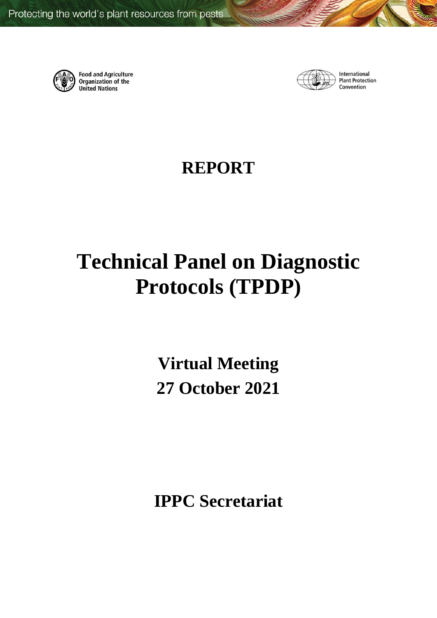

**Food and Agriculture Organization of the United Nations** 



International **Plant Protection** Convention

**REPORT**

# **Technical Panel on Diagnostic Protocols (TPDP)**

**Virtual Meeting 27 October 2021**

**IPPC Secretariat**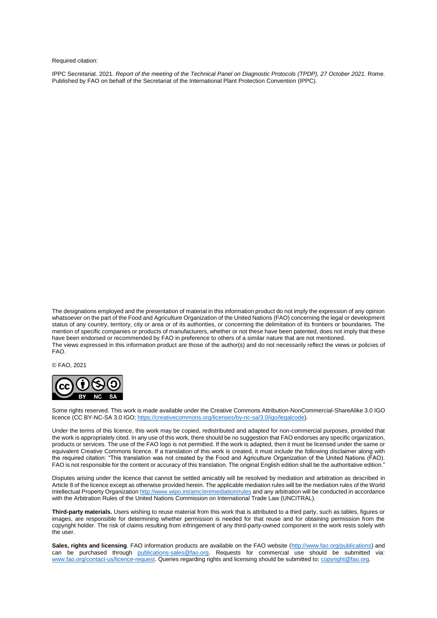Required citation:

IPPC Secretariat. 2021. *Report of the meeting of the Technical Panel on Diagnostic Protocols (TPDP), 27 October 2021.* Rome. Published by FAO on behalf of the Secretariat of the International Plant Protection Convention (IPPC).

The designations employed and the presentation of material in this information product do not imply the expression of any opinion whatsoever on the part of the Food and Agriculture Organization of the United Nations (FAO) concerning the legal or development status of any country, territory, city or area or of its authorities, or concerning the delimitation of its frontiers or boundaries. The mention of specific companies or products of manufacturers, whether or not these have been patented, does not imply that these have been endorsed or recommended by FAO in preference to others of a similar nature that are not mentioned. The views expressed in this information product are those of the author(s) and do not necessarily reflect the views or policies of FAO.

© FAO, 2021



Some rights reserved. This work is made available under the Creative Commons Attribution-NonCommercial-ShareAlike 3.0 IGO licence (CC BY-NC-SA 3.0 IGO; [https://creativecommons.org/licenses/by-nc-sa/3.0/igo/legalcode\)](https://creativecommons.org/licenses/by-nc-sa/3.0/igo/legalcode).

Under the terms of this licence, this work may be copied, redistributed and adapted for non-commercial purposes, provided that the work is appropriately cited. In any use of this work, there should be no suggestion that FAO endorses any specific organization, products or services. The use of the FAO logo is not permitted. If the work is adapted, then it must be licensed under the same or equivalent Creative Commons licence. If a translation of this work is created, it must include the following disclaimer along with the required citation: "This translation was not created by the Food and Agriculture Organization of the United Nations (FAO). FAO is not responsible for the content or accuracy of this translation. The original English edition shall be the authoritative edition."

Disputes arising under the licence that cannot be settled amicably will be resolved by mediation and arbitration as described in Article 8 of the licence except as otherwise provided herein. The applicable mediation rules will be the mediation rules of the World Intellectual Property Organizatio[n http://www.wipo.int/amc/en/mediation/rules](http://www.wipo.int/amc/en/mediation/rules) and any arbitration will be conducted in accordance with the Arbitration Rules of the United Nations Commission on International Trade Law (UNCITRAL).

**Third-party materials.** Users wishing to reuse material from this work that is attributed to a third party, such as tables, figures or images, are responsible for determining whether permission is needed for that reuse and for obtaining permission from the copyright holder. The risk of claims resulting from infringement of any third-party-owned component in the work rests solely with the user.

**Sales, rights and licensing**. FAO information products are available on the FAO website [\(http://www.fao.org/publications\)](http://www.fao.org/publications) and can be purchased through [publications-sales@fao.org.](mailto:publications-sales@fao.org) Requests for commercial use should be submitted via: [www.fao.org/contact-us/licence-request.](http://www.fao.org/contact-us/licence-request) Queries regarding rights and licensing should be submitted to[: copyright@fao.org.](mailto:copyright@fao.org)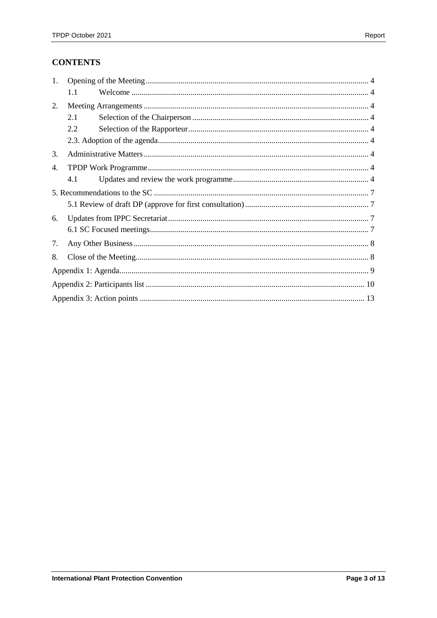# **CONTENTS**

| 1. |     |  |  |  |  |
|----|-----|--|--|--|--|
|    | 1.1 |  |  |  |  |
| 2. |     |  |  |  |  |
|    | 2.1 |  |  |  |  |
|    | 2.2 |  |  |  |  |
|    |     |  |  |  |  |
| 3. |     |  |  |  |  |
| 4. |     |  |  |  |  |
|    | 4.1 |  |  |  |  |
|    |     |  |  |  |  |
|    |     |  |  |  |  |
| 6. |     |  |  |  |  |
|    |     |  |  |  |  |
| 7. |     |  |  |  |  |
| 8. |     |  |  |  |  |
|    |     |  |  |  |  |
|    |     |  |  |  |  |
|    |     |  |  |  |  |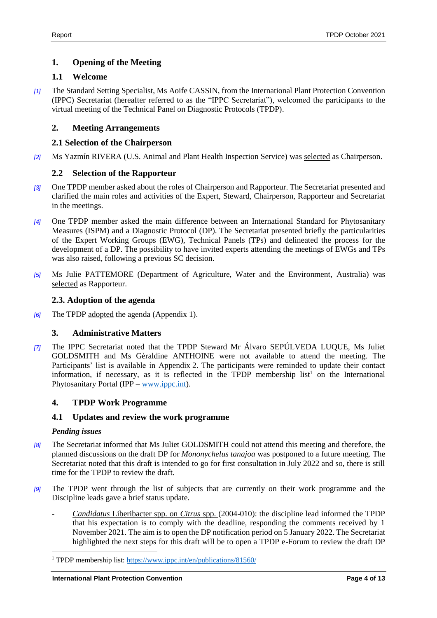# <span id="page-3-0"></span>**1. Opening of the Meeting**

# <span id="page-3-1"></span>**1.1 Welcome**

*[1]* The Standard Setting Specialist, Ms Aoife CASSIN, from the International Plant Protection Convention (IPPC) Secretariat (hereafter referred to as the "IPPC Secretariat"), welcomed the participants to the virtual meeting of the Technical Panel on Diagnostic Protocols (TPDP).

### <span id="page-3-2"></span>**2. Meeting Arrangements**

#### <span id="page-3-3"></span>**2.1 Selection of the Chairperson**

*[2]* Ms Yazmín RIVERA (U.S. Animal and Plant Health Inspection Service) was selected as Chairperson.

#### <span id="page-3-4"></span>**2.2 Selection of the Rapporteur**

- *[3]* One TPDP member asked about the roles of Chairperson and Rapporteur. The Secretariat presented and clarified the main roles and activities of the Expert, Steward, Chairperson, Rapporteur and Secretariat in the meetings.
- *[4]* One TPDP member asked the main difference between an International Standard for Phytosanitary Measures (ISPM) and a Diagnostic Protocol (DP). The Secretariat presented briefly the particularities of the Expert Working Groups (EWG), Technical Panels (TPs) and delineated the process for the development of a DP. The possibility to have invited experts attending the meetings of EWGs and TPs was also raised, following a previous SC decision.
- *[5]* Ms Julie PATTEMORE (Department of Agriculture, Water and the Environment, Australia) was selected as Rapporteur.

#### <span id="page-3-5"></span>**2.3. Adoption of the agenda**

*[6]* The TPDP adopted the agenda (Appendix 1).

#### <span id="page-3-6"></span>**3. Administrative Matters**

*[7]* The IPPC Secretariat noted that the TPDP Steward Mr Álvaro SEPÚLVEDA LUQUE, Ms Juliet GOLDSMITH and Ms Gèraldine ANTHOINE were not available to attend the meeting. The Participants' list is available in Appendix 2. The participants were reminded to update their contact information, if necessary, as it is reflected in the TPDP membership list<sup>1</sup> on the International Phytosanitary Portal  $(IPP - \underline{www.ippc.int})$ .

#### <span id="page-3-7"></span>**4. TPDP Work Programme**

#### <span id="page-3-8"></span>**4.1 Updates and review the work programme**

#### *Pending issues*

 $\overline{a}$ 

- *[8]* The Secretariat informed that Ms Juliet GOLDSMITH could not attend this meeting and therefore, the planned discussions on the draft DP for *Mononychelus tanajoa* was postponed to a future meeting. The Secretariat noted that this draft is intended to go for first consultation in July 2022 and so, there is still time for the TPDP to review the draft.
- *[9]* The TPDP went through the list of subjects that are currently on their work programme and the Discipline leads gave a brief status update.
	- *Candidatus* Liberibacter spp. on *Citrus* spp. (2004-010): the discipline lead informed the TPDP that his expectation is to comply with the deadline, responding the comments received by 1 November 2021. The aim is to open the DP notification period on 5 January 2022. The Secretariat highlighted the next steps for this draft will be to open a TPDP e-Forum to review the draft DP

<sup>1</sup> TPDP membership list:<https://www.ippc.int/en/publications/81560/>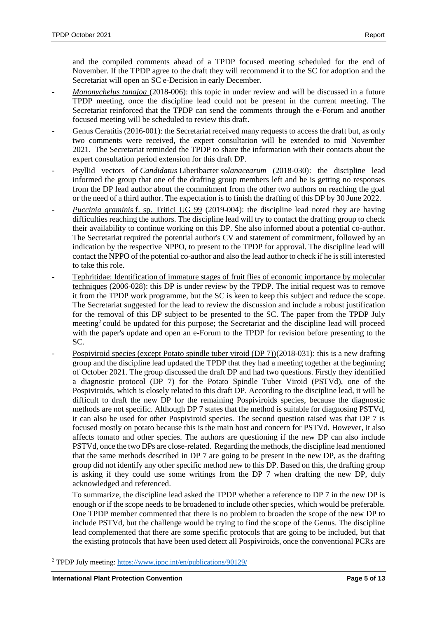and the compiled comments ahead of a TPDP focused meeting scheduled for the end of November. If the TPDP agree to the draft they will recommend it to the SC for adoption and the Secretariat will open an SC e-Decision in early December.

- *Mononychelus tanajoa* (2018-006): this topic in under review and will be discussed in a future TPDP meeting, once the discipline lead could not be present in the current meeting. The Secretariat reinforced that the TPDP can send the comments through the e-Forum and another focused meeting will be scheduled to review this draft.
- Genus Ceratitis (2016-001): the Secretariat received many requests to access the draft but, as only two comments were received, the expert consultation will be extended to mid November 2021. The Secretariat reminded the TPDP to share the information with their contacts about the expert consultation period extension for this draft DP.
- Psyllid vectors of *Candidatus* Liberibacter *solanacearum* (2018-030): the discipline lead informed the group that one of the drafting group members left and he is getting no responses from the DP lead author about the commitment from the other two authors on reaching the goal or the need of a third author. The expectation is to finish the drafting of this DP by 30 June 2022.
- *Puccinia graminis* f. sp. Tritici UG 99 (2019-004): the discipline lead noted they are having difficulties reaching the authors. The discipline lead will try to contact the drafting group to check their availability to continue working on this DP. She also informed about a potential co-author. The Secretariat required the potential author's CV and statement of commitment, followed by an indication by the respective NPPO, to present to the TPDP for approval. The discipline lead will contact the NPPO of the potential co-author and also the lead author to check if he is still interested to take this role.
- Tephritidae: Identification of immature stages of fruit flies of economic importance by molecular techniques (2006-028): this DP is under review by the TPDP. The initial request was to remove it from the TPDP work programme, but the SC is keen to keep this subject and reduce the scope. The Secretariat suggested for the lead to review the discussion and include a robust justification for the removal of this DP subject to be presented to the SC. The paper from the TPDP July meeting<sup>2</sup> could be updated for this purpose; the Secretariat and the discipline lead will proceed with the paper's update and open an e-Forum to the TPDP for revision before presenting to the SC.
- Pospiviroid species (except Potato spindle tuber viroid (DP 7))(2018-031): this is a new drafting group and the discipline lead updated the TPDP that they had a meeting together at the beginning of October 2021. The group discussed the draft DP and had two questions. Firstly they identified a diagnostic protocol (DP 7) for the Potato Spindle Tuber Viroid (PSTVd), one of the Pospiviroids, which is closely related to this draft DP. According to the discipline lead, it will be difficult to draft the new DP for the remaining Pospiviroids species, because the diagnostic methods are not specific. Although DP 7 states that the method is suitable for diagnosing PSTVd, it can also be used for other Pospiviroid species. The second question raised was that DP 7 is focused mostly on potato because this is the main host and concern for PSTVd. However, it also affects tomato and other species. The authors are questioning if the new DP can also include PSTVd, once the two DPs are close-related. Regarding the methods, the discipline lead mentioned that the same methods described in DP 7 are going to be present in the new DP, as the drafting group did not identify any other specific method new to this DP. Based on this, the drafting group is asking if they could use some writings from the DP 7 when drafting the new DP, duly acknowledged and referenced.

To summarize, the discipline lead asked the TPDP whether a reference to DP 7 in the new DP is enough or if the scope needs to be broadened to include other species, which would be preferable. One TPDP member commented that there is no problem to broaden the scope of the new DP to include PSTVd, but the challenge would be trying to find the scope of the Genus. The discipline lead complemented that there are some specific protocols that are going to be included, but that the existing protocols that have been used detect all Pospiviroids, once the conventional PCRs are

 $\overline{a}$ 

<sup>2</sup> TPDP July meeting:<https://www.ippc.int/en/publications/90129/>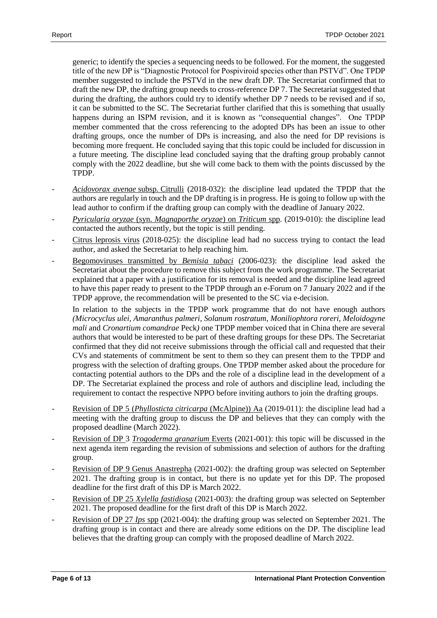generic; to identify the species a sequencing needs to be followed. For the moment, the suggested title of the new DP is "Diagnostic Protocol for Pospiviroid species other than PSTVd". One TPDP member suggested to include the PSTVd in the new draft DP. The Secretariat confirmed that to draft the new DP, the drafting group needs to cross-reference DP 7. The Secretariat suggested that during the drafting, the authors could try to identify whether DP 7 needs to be revised and if so, it can be submitted to the SC. The Secretariat further clarified that this is something that usually happens during an ISPM revision, and it is known as "consequential changes". One TPDP member commented that the cross referencing to the adopted DPs has been an issue to other drafting groups, once the number of DPs is increasing, and also the need for DP revisions is becoming more frequent. He concluded saying that this topic could be included for discussion in a future meeting. The discipline lead concluded saying that the drafting group probably cannot comply with the 2022 deadline, but she will come back to them with the points discussed by the TPDP.

- *Acidovorax avenae* subsp. Citrulli (2018-032): the discipline lead updated the TPDP that the authors are regularly in touch and the DP drafting is in progress. He is going to follow up with the lead author to confirm if the drafting group can comply with the deadline of January 2022.
- *Pyricularia oryzae* (syn. *Magnaporthe oryzae*) on *Triticum* spp. (2019-010): the discipline lead contacted the authors recently, but the topic is still pending.
- Citrus leprosis virus (2018-025): the discipline lead had no success trying to contact the lead author, and asked the Secretariat to help reaching him.
- Begomoviruses transmitted by *Bemisia tabaci* (2006-023): the discipline lead asked the Secretariat about the procedure to remove this subject from the work programme. The Secretariat explained that a paper with a justification for its removal is needed and the discipline lead agreed to have this paper ready to present to the TPDP through an e-Forum on 7 January 2022 and if the TPDP approve, the recommendation will be presented to the SC via e-decision.

In relation to the subjects in the TPDP work programme that do not have enough authors *(Microcyclus ulei, Amaranthus palmeri, Solanum rostratum*, *Moniliophtora roreri, Meloidogyne mali* and *Cronartium comandrae* Peck*)* one TPDP member voiced that in China there are several authors that would be interested to be part of these drafting groups for these DPs. The Secretariat confirmed that they did not receive submissions through the official call and requested that their CVs and statements of commitment be sent to them so they can present them to the TPDP and progress with the selection of drafting groups. One TPDP member asked about the procedure for contacting potential authors to the DPs and the role of a discipline lead in the development of a DP. The Secretariat explained the process and role of authors and discipline lead, including the requirement to contact the respective NPPO before inviting authors to join the drafting groups.

- Revision of DP 5 (*Phyllosticta citricarpa* (McAlpine)) Aa (2019-011): the discipline lead had a meeting with the drafting group to discuss the DP and believes that they can comply with the proposed deadline (March 2022).
- Revision of DP 3 *Trogoderma granarium* Everts (2021-001): this topic will be discussed in the next agenda item regarding the revision of submissions and selection of authors for the drafting group.
- Revision of DP 9 Genus Anastrepha (2021-002): the drafting group was selected on September 2021. The drafting group is in contact, but there is no update yet for this DP. The proposed deadline for the first draft of this DP is March 2022.
- Revision of DP 25 *Xylella fastidiosa* (2021-003): the drafting group was selected on September 2021. The proposed deadline for the first draft of this DP is March 2022.
- Revision of DP 27 *Ips* spp (2021-004): the drafting group was selected on September 2021. The drafting group is in contact and there are already some editions on the DP. The discipline lead believes that the drafting group can comply with the proposed deadline of March 2022.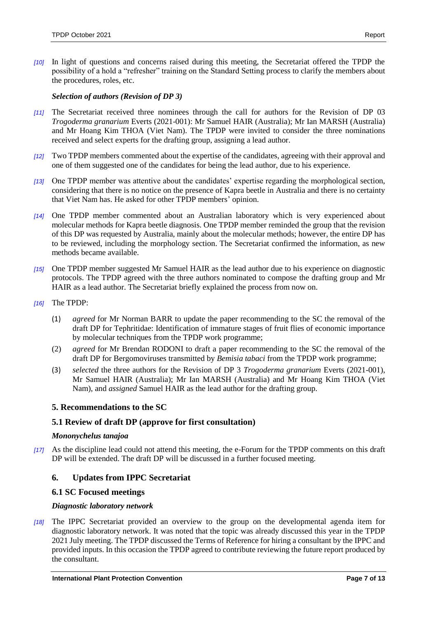*[10]* In light of questions and concerns raised during this meeting, the Secretariat offered the TPDP the possibility of a hold a "refresher" training on the Standard Setting process to clarify the members about the procedures, roles, etc.

#### *Selection of authors (Revision of DP 3)*

- *[11]* The Secretariat received three nominees through the call for authors for the Revision of DP 03 *Trogoderma granarium* Everts (2021-001): Mr Samuel HAIR (Australia); Mr Ian MARSH (Australia) and Mr Hoang Kim THOA (Viet Nam). The TPDP were invited to consider the three nominations received and select experts for the drafting group, assigning a lead author.
- *[12]* Two TPDP members commented about the expertise of the candidates, agreeing with their approval and one of them suggested one of the candidates for being the lead author, due to his experience.
- *[13]* One TPDP member was attentive about the candidates' expertise regarding the morphological section, considering that there is no notice on the presence of Kapra beetle in Australia and there is no certainty that Viet Nam has. He asked for other TPDP members' opinion.
- *[14]* One TPDP member commented about an Australian laboratory which is very experienced about molecular methods for Kapra beetle diagnosis. One TPDP member reminded the group that the revision of this DP was requested by Australia, mainly about the molecular methods; however, the entire DP has to be reviewed, including the morphology section. The Secretariat confirmed the information, as new methods became available.
- *[15]* One TPDP member suggested Mr Samuel HAIR as the lead author due to his experience on diagnostic protocols. The TPDP agreed with the three authors nominated to compose the drafting group and Mr HAIR as a lead author. The Secretariat briefly explained the process from now on.
- *[16]* The TPDP:
	- (1) *agreed* for Mr Norman BARR to update the paper recommending to the SC the removal of the draft DP for Tephritidae: Identification of immature stages of fruit flies of economic importance by molecular techniques from the TPDP work programme;
	- (2) *agreed* for Mr Brendan RODONI to draft a paper recommending to the SC the removal of the draft DP for Bergomoviruses transmitted by *Bemisia tabaci* from the TPDP work programme;
	- (3) *selected* the three authors for the Revision of DP 3 *Trogoderma granarium* Everts (2021-001), Mr Samuel HAIR (Australia); Mr Ian MARSH (Australia) and Mr Hoang Kim THOA (Viet Nam), and *assigned* Samuel HAIR as the lead author for the drafting group.

#### <span id="page-6-0"></span>**5. Recommendations to the SC**

#### <span id="page-6-1"></span>**5.1 Review of draft DP (approve for first consultation)**

#### *Mononychelus tanajoa*

*[17]* As the discipline lead could not attend this meeting, the e-Forum for the TPDP comments on this draft DP will be extended. The draft DP will be discussed in a further focused meeting.

#### <span id="page-6-2"></span>**6. Updates from IPPC Secretariat**

#### <span id="page-6-3"></span>**6.1 SC Focused meetings**

#### *Diagnostic laboratory network*

*[18]* The IPPC Secretariat provided an overview to the group on the developmental agenda item for diagnostic laboratory network. It was noted that the topic was already discussed this year in the TPDP 2021 July meeting. The TPDP discussed the Terms of Reference for hiring a consultant by the IPPC and provided inputs. In this occasion the TPDP agreed to contribute reviewing the future report produced by the consultant.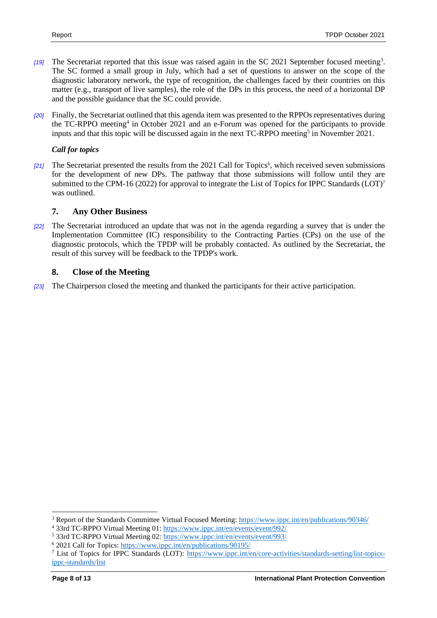- [19] The Secretariat reported that this issue was raised again in the SC 2021 September focused meeting<sup>3</sup>. The SC formed a small group in July, which had a set of questions to answer on the scope of the diagnostic laboratory network, the type of recognition, the challenges faced by their countries on this matter (e.g., transport of live samples), the role of the DPs in this process, the need of a horizontal DP and the possible guidance that the SC could provide.
- *[20]* Finally, the Secretariat outlined that this agenda item was presented to the RPPOs representatives during the TC-RPPO meeting<sup>4</sup> in October 2021 and an e-Forum was opened for the participants to provide inputs and that this topic will be discussed again in the next TC-RPPO meeting<sup>5</sup> in November 2021.

#### *Call for topics*

[21] The Secretariat presented the results from the 2021 Call for Topics<sup>6</sup>, which received seven submissions for the development of new DPs. The pathway that those submissions will follow until they are submitted to the CPM-16 (2022) for approval to integrate the List of Topics for IPPC Standards (LOT)<sup>7</sup> was outlined.

#### <span id="page-7-0"></span>**7. Any Other Business**

*[22]* The Secretariat introduced an update that was not in the agenda regarding a survey that is under the Implementation Committee (IC) responsibility to the Contracting Parties (CPs) on the use of the diagnostic protocols, which the TPDP will be probably contacted. As outlined by the Secretariat, the result of this survey will be feedback to the TPDP's work.

#### <span id="page-7-1"></span>**8. Close of the Meeting**

*[23]* The Chairperson closed the meeting and thanked the participants for their active participation.

l

<sup>3</sup> Report of the Standards Committee Virtual Focused Meeting:<https://www.ippc.int/en/publications/90346/>

<sup>4</sup> 33rd TC-RPPO Virtual Meeting 01[: https://www.ippc.int/en/events/event/992/](https://www.ippc.int/en/events/event/992/)

<sup>5</sup> 33rd TC-RPPO Virtual Meeting 02[: https://www.ippc.int/en/events/event/993/](https://www.ippc.int/en/events/event/993/)

<sup>6</sup> 2021 Call for Topics[: https://www.ippc.int/en/publications/90195/](https://www.ippc.int/en/publications/90195/)

<sup>7</sup> List of Topics for IPPC Standards (LOT): [https://www.ippc.int/en/core-activities/standards-setting/list-topics](https://www.ippc.int/en/core-activities/standards-setting/list-topics-ippc-standards/list)[ippc-standards/list](https://www.ippc.int/en/core-activities/standards-setting/list-topics-ippc-standards/list)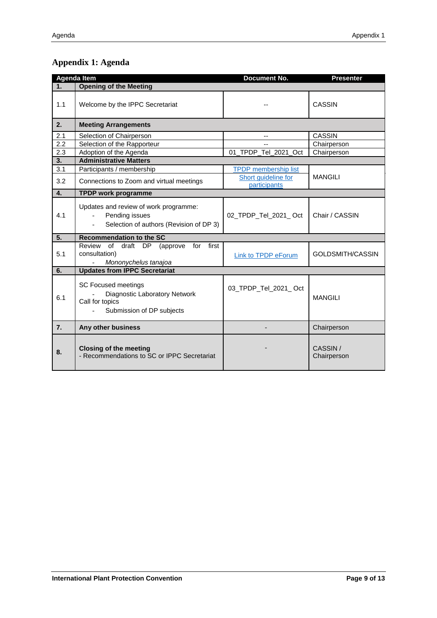# <span id="page-8-0"></span>**Appendix 1: Agenda**

|                  | <b>Agenda Item</b>                                                                                          | <b>Document No.</b>                 | <b>Presenter</b>       |  |  |  |
|------------------|-------------------------------------------------------------------------------------------------------------|-------------------------------------|------------------------|--|--|--|
| 1.               | <b>Opening of the Meeting</b>                                                                               |                                     |                        |  |  |  |
| 1.1              | Welcome by the IPPC Secretariat                                                                             |                                     | <b>CASSIN</b>          |  |  |  |
| 2.               | <b>Meeting Arrangements</b>                                                                                 |                                     |                        |  |  |  |
| 2.1              | Selection of Chairperson                                                                                    | --                                  | <b>CASSIN</b>          |  |  |  |
| 2.2              | Selection of the Rapporteur                                                                                 |                                     | Chairperson            |  |  |  |
| 2.3              | Adoption of the Agenda                                                                                      | 01_TPDP_Tel_2021_Oct                | Chairperson            |  |  |  |
| 3.               | <b>Administrative Matters</b>                                                                               |                                     |                        |  |  |  |
| 3.1              | Participants / membership                                                                                   | <b>TPDP</b> membership list         |                        |  |  |  |
| 3.2              | Connections to Zoom and virtual meetings                                                                    | Short guideline for<br>participants | <b>MANGILI</b>         |  |  |  |
| 4.               | <b>TPDP</b> work programme                                                                                  |                                     |                        |  |  |  |
| 4.1              | Updates and review of work programme:<br>Pending issues<br>Selection of authors (Revision of DP 3)          | 02_TPDP_Tel_2021_Oct                | Chair / CASSIN         |  |  |  |
| 5.               | <b>Recommendation to the SC</b>                                                                             |                                     |                        |  |  |  |
| 5.1              | Review of<br>draft DP<br>first<br>(approve<br>for<br>consultation)<br>Mononychelus tanajoa                  | Link to TPDP eForum                 | GOLDSMITH/CASSIN       |  |  |  |
| 6.               | <b>Updates from IPPC Secretariat</b>                                                                        |                                     |                        |  |  |  |
| 6.1              | <b>SC Focused meetings</b><br>Diagnostic Laboratory Network<br>Call for topics<br>Submission of DP subjects | 03 TPDP Tel 2021 Oct                | <b>MANGILI</b>         |  |  |  |
| $\overline{7}$ . | Any other business                                                                                          |                                     | Chairperson            |  |  |  |
| 8.               | <b>Closing of the meeting</b><br>- Recommendations to SC or IPPC Secretariat                                |                                     | CASSIN/<br>Chairperson |  |  |  |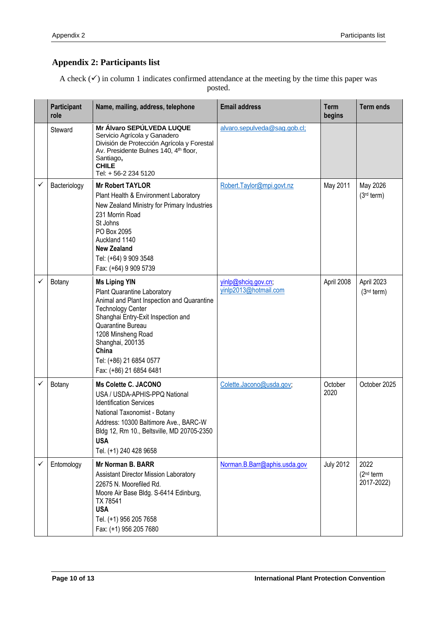# <span id="page-9-0"></span>**Appendix 2: Participants list**

A check  $(\checkmark)$  in column 1 indicates confirmed attendance at the meeting by the time this paper was posted.

|   | Participant<br>role | Name, mailing, address, telephone                                                                                                                                                                                                                                                                 | <b>Email address</b>                         | <b>Term</b><br>begins | <b>Term ends</b>                            |
|---|---------------------|---------------------------------------------------------------------------------------------------------------------------------------------------------------------------------------------------------------------------------------------------------------------------------------------------|----------------------------------------------|-----------------------|---------------------------------------------|
|   | Steward             | Mr Álvaro SEPÚLVEDA LUQUE<br>Servicio Agrícola y Ganadero<br>División de Protección Agrícola y Forestal<br>Av. Presidente Bulnes 140, 4th floor,<br>Santiago,<br><b>CHILE</b><br>Tel: + 56-2 234 5120                                                                                             | alvaro.sepulveda@sag.gob.cl;                 |                       |                                             |
| ✓ | Bacteriology        | <b>Mr Robert TAYLOR</b><br>Plant Health & Environment Laboratory<br>New Zealand Ministry for Primary Industries<br>231 Morrin Road<br>St Johns<br>PO Box 2095<br>Auckland 1140<br><b>New Zealand</b><br>Tel: (+64) 9 909 3548<br>Fax: (+64) 9 909 5739                                            | Robert.Taylor@mpi.govt.nz                    | May 2011              | May 2026<br>$(3rd$ term)                    |
| ✓ | Botany              | <b>Ms Liping YIN</b><br>Plant Quarantine Laboratory<br>Animal and Plant Inspection and Quarantine<br><b>Technology Center</b><br>Shanghai Entry-Exit Inspection and<br>Quarantine Bureau<br>1208 Minsheng Road<br>Shanghai, 200135<br>China<br>Tel: (+86) 21 6854 0577<br>Fax: (+86) 21 6854 6481 | yinlp@shciq.gov.cn;<br>yinlp2013@hotmail.com | April 2008            | April 2023<br>(3 <sup>nd</sup> term)        |
| ✓ | Botany              | Ms Colette C. JACONO<br>USA / USDA-APHIS-PPQ National<br><b>Identification Services</b><br>National Taxonomist - Botany<br>Address: 10300 Baltimore Ave., BARC-W<br>Bldg 12, Rm 10., Beltsville, MD 20705-2350<br><b>USA</b><br>Tel. (+1) 240 428 9658                                            | Colette.Jacono@usda.gov;                     | October<br>2020       | October 2025                                |
| ✓ | Entomology          | Mr Norman B. BARR<br>Assistant Director Mission Laboratory<br>22675 N. Moorefiled Rd.<br>Moore Air Base Bldg. S-6414 Edinburg,<br>TX 78541<br><b>USA</b><br>Tel. (+1) 956 205 7658<br>Fax: (+1) 956 205 7680                                                                                      | Norman.B.Barr@aphis.usda.gov                 | <b>July 2012</b>      | 2022<br>(2 <sup>nd</sup> term<br>2017-2022) |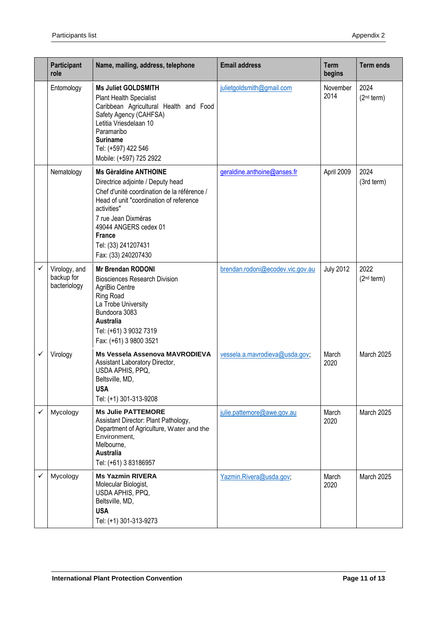|   | Participant<br>role                         | Name, mailing, address, telephone                                                                                                                                                                                                                                                         | <b>Email address</b>             | <b>Term</b><br>begins | <b>Term ends</b>               |
|---|---------------------------------------------|-------------------------------------------------------------------------------------------------------------------------------------------------------------------------------------------------------------------------------------------------------------------------------------------|----------------------------------|-----------------------|--------------------------------|
|   | Entomology                                  | <b>Ms Juliet GOLDSMITH</b><br><b>Plant Health Specialist</b><br>Caribbean Agricultural Health and Food<br>Safety Agency (CAHFSA)<br>Letitia Vriesdelaan 10<br>Paramaribo<br><b>Suriname</b><br>Tel: (+597) 422 546<br>Mobile: (+597) 725 2922                                             | julietgoldsmith@gmail.com        | November<br>2014      | 2024<br>(2 <sup>nd</sup> term) |
|   | Nematology                                  | <b>Ms Gèraldine ANTHOINE</b><br>Directrice adjointe / Deputy head<br>Chef d'unité coordination de la référence /<br>Head of unit "coordination of reference<br>activities"<br>7 rue Jean Dixméras<br>49044 ANGERS cedex 01<br><b>France</b><br>Tel: (33) 241207431<br>Fax: (33) 240207430 | geraldine.anthoine@anses.fr      | April 2009            | 2024<br>(3rd term)             |
| ✓ | Virology, and<br>backup for<br>bacteriology | <b>Mr Brendan RODONI</b><br><b>Biosciences Research Division</b><br>AgriBio Centre<br>Ring Road<br>La Trobe University<br>Bundoora 3083<br>Australia<br>Tel: (+61) 3 9032 7319<br>Fax: (+61) 3 9800 3521                                                                                  | brendan.rodoni@ecodev.vic.gov.au | <b>July 2012</b>      | 2022<br>(2 <sup>nd</sup> term) |
| ✓ | Virology                                    | Ms Vessela Assenova MAVRODIEVA<br>Assistant Laboratory Director,<br>USDA APHIS, PPQ,<br>Beltsville, MD,<br><b>USA</b><br>Tel: (+1) 301-313-9208                                                                                                                                           | vessela.a.mavrodieva@usda.gov;   | March<br>2020         | March 2025                     |
| ✓ | Mycology                                    | <b>Ms Julie PATTEMORE</b><br>Assistant Director: Plant Pathology,<br>Department of Agriculture, Water and the<br>Environment,<br>Melbourne,<br><b>Australia</b><br>Tel: (+61) 3 83186957                                                                                                  | julie.pattemore@awe.gov.au       | March<br>2020         | March 2025                     |
| ✓ | Mycology                                    | <b>Ms Yazmin RIVERA</b><br>Molecular Biologist,<br>USDA APHIS, PPQ,<br>Beltsville, MD,<br><b>USA</b><br>Tel: (+1) 301-313-9273                                                                                                                                                            | Yazmin.Rivera@usda.gov;          | March<br>2020         | March 2025                     |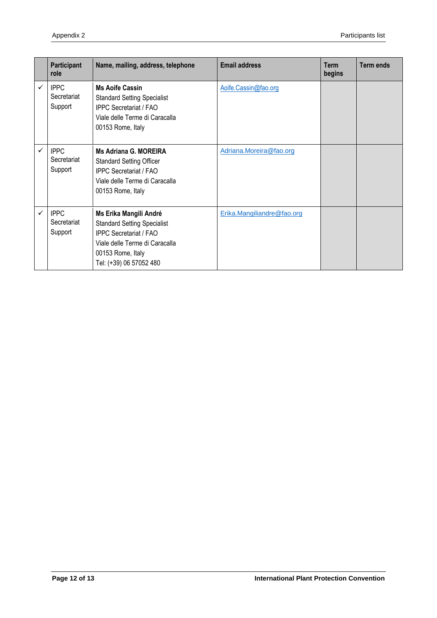|   | Participant<br>role                   | Name, mailing, address, telephone                                                                                                                                               | <b>Email address</b>       | <b>Term</b><br>begins | Term ends |
|---|---------------------------------------|---------------------------------------------------------------------------------------------------------------------------------------------------------------------------------|----------------------------|-----------------------|-----------|
| ✓ | <b>IPPC</b><br>Secretariat<br>Support | <b>Ms Aoife Cassin</b><br><b>Standard Setting Specialist</b><br><b>IPPC Secretariat / FAO</b><br>Viale delle Terme di Caracalla<br>00153 Rome, Italy                            | Aoife.Cassin@fao.org       |                       |           |
| ✓ | <b>IPPC</b><br>Secretariat<br>Support | <b>Ms Adriana G. MOREIRA</b><br><b>Standard Setting Officer</b><br><b>IPPC Secretariat / FAO</b><br>Viale delle Terme di Caracalla<br>00153 Rome, Italy                         | Adriana.Moreira@fao.org    |                       |           |
| ✓ | <b>IPPC</b><br>Secretariat<br>Support | Ms Erika Mangili André<br><b>Standard Setting Specialist</b><br><b>IPPC Secretariat / FAO</b><br>Viale delle Terme di Caracalla<br>00153 Rome, Italy<br>Tel: (+39) 06 57052 480 | Erika.Mangiliandre@fao.org |                       |           |